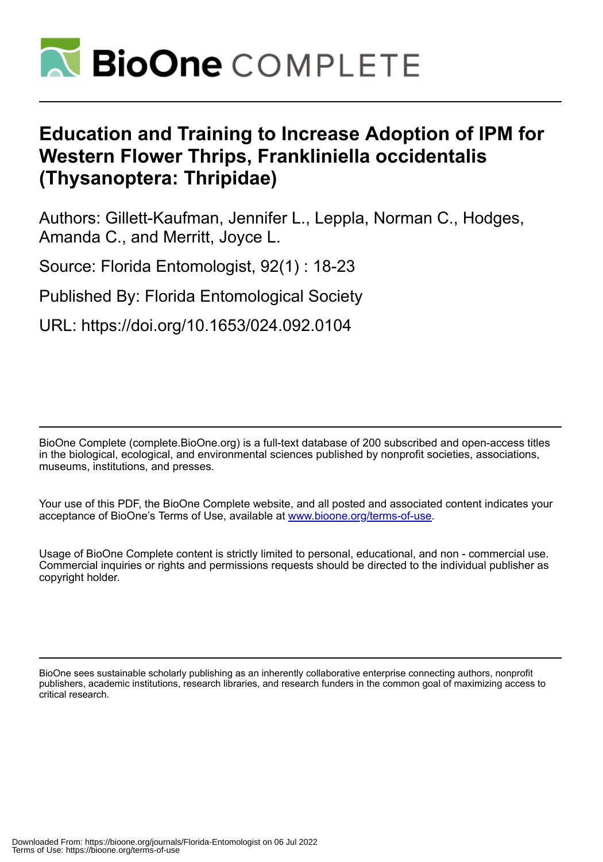

# **Education and Training to Increase Adoption of IPM for Western Flower Thrips, Frankliniella occidentalis (Thysanoptera: Thripidae)**

Authors: Gillett-Kaufman, Jennifer L., Leppla, Norman C., Hodges, Amanda C., and Merritt, Joyce L.

Source: Florida Entomologist, 92(1) : 18-23

Published By: Florida Entomological Society

URL: https://doi.org/10.1653/024.092.0104

BioOne Complete (complete.BioOne.org) is a full-text database of 200 subscribed and open-access titles in the biological, ecological, and environmental sciences published by nonprofit societies, associations, museums, institutions, and presses.

Your use of this PDF, the BioOne Complete website, and all posted and associated content indicates your acceptance of BioOne's Terms of Use, available at www.bioone.org/terms-of-use.

Usage of BioOne Complete content is strictly limited to personal, educational, and non - commercial use. Commercial inquiries or rights and permissions requests should be directed to the individual publisher as copyright holder.

BioOne sees sustainable scholarly publishing as an inherently collaborative enterprise connecting authors, nonprofit publishers, academic institutions, research libraries, and research funders in the common goal of maximizing access to critical research.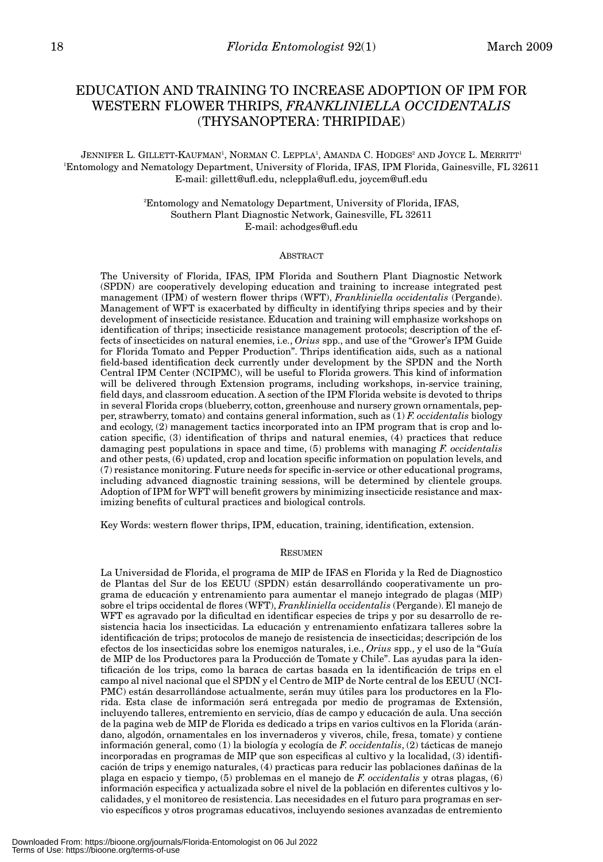# EDUCATION AND TRAINING TO INCREASE ADOPTION OF IPM FOR WESTERN FLOWER THRIPS, *FRANKLINIELLA OCCIDENTALIS*  (THYSANOPTERA: THRIPIDAE)

## JENNIFER L. GILLETT-KAUFMAN', NORMAN C. LEPPLA<sup>1</sup>, AMANDA C. HODGES<sup>2</sup> AND JOYCE L. MERRITT<sup>1</sup> 1 Entomology and Nematology Department, University of Florida, IFAS, IPM Florida, Gainesville, FL 32611 E-mail: gillett@ufl.edu, ncleppla@ufl.edu, joycem@ufl.edu

2 Entomology and Nematology Department, University of Florida, IFAS, Southern Plant Diagnostic Network, Gainesville, FL 32611 E-mail: achodges@ufl.edu

#### **ABSTRACT**

The University of Florida, IFAS, IPM Florida and Southern Plant Diagnostic Network (SPDN) are cooperatively developing education and training to increase integrated pest management (IPM) of western flower thrips (WFT), *Frankliniella occidentalis* (Pergande). Management of WFT is exacerbated by difficulty in identifying thrips species and by their development of insecticide resistance. Education and training will emphasize workshops on identification of thrips; insecticide resistance management protocols; description of the effects of insecticides on natural enemies, i.e., *Orius* spp., and use of the "Grower's IPM Guide for Florida Tomato and Pepper Production". Thrips identification aids, such as a national field-based identification deck currently under development by the SPDN and the North Central IPM Center (NCIPMC), will be useful to Florida growers. This kind of information will be delivered through Extension programs, including workshops, in-service training, field days, and classroom education. A section of the IPM Florida website is devoted to thrips in several Florida crops (blueberry, cotton, greenhouse and nursery grown ornamentals, pepper, strawberry, tomato) and contains general information, such as (1) *F. occidentalis* biology and ecology, (2) management tactics incorporated into an IPM program that is crop and location specific, (3) identification of thrips and natural enemies, (4) practices that reduce damaging pest populations in space and time, (5) problems with managing *F. occidentalis* and other pests, (6) updated, crop and location specific information on population levels, and (7) resistance monitoring. Future needs for specific in-service or other educational programs, including advanced diagnostic training sessions, will be determined by clientele groups. Adoption of IPM for WFT will benefit growers by minimizing insecticide resistance and maximizing benefits of cultural practices and biological controls.

Key Words: western flower thrips, IPM, education, training, identification, extension.

#### RESUMEN

La Universidad de Florida, el programa de MIP de IFAS en Florida y la Red de Diagnostico de Plantas del Sur de los EEUU (SPDN) están desarrollándo cooperativamente un programa de educación y entrenamiento para aumentar el manejo integrado de plagas (MIP) sobre el trips occidental de flores (WFT), *Frankliniella occidentalis* (Pergande). El manejo de WFT es agravado por la dificultad en identificar especies de trips y por su desarrollo de resistencia hacia los insecticidas. La educación y entrenamiento enfatizara talleres sobre la identificación de trips; protocolos de manejo de resistencia de insecticidas; descripción de los efectos de los insecticidas sobre los enemigos naturales, i.e., *Orius* spp., y el uso de la "Guía de MIP de los Productores para la Producción de Tomate y Chile". Las ayudas para la identificación de los trips, como la baraca de cartas basada en la identificación de trips en el campo al nivel nacional que el SPDN y el Centro de MIP de Norte central de los EEUU (NCI-PMC) están desarrollándose actualmente, serán muy útiles para los productores en la Florida. Esta clase de información será entregada por medio de programas de Extensión, incluyendo talleres, entremiento en servicio, días de campo y educación de aula. Una sección de la pagina web de MIP de Florida es dedicado a trips en varios cultivos en la Florida (arándano, algodón, ornamentales en los invernaderos y viveros, chile, fresa, tomate) y contiene información general, como (1) la biología y ecología de *F. occidentalis*, (2) tácticas de manejo incorporadas en programas de MIP que son especificas al cultivo y la localidad, (3) identificación de trips y enemigo naturales, (4) practicas para reducir las poblaciones dañinas de la plaga en espacio y tiempo, (5) problemas en el manejo de *F. occidentalis* y otras plagas, (6) información especifica y actualizada sobre el nivel de la población en diferentes cultivos y localidades, y el monitoreo de resistencia. Las necesidades en el futuro para programas en servio específicos y otros programas educativos, incluyendo sesiones avanzadas de entremiento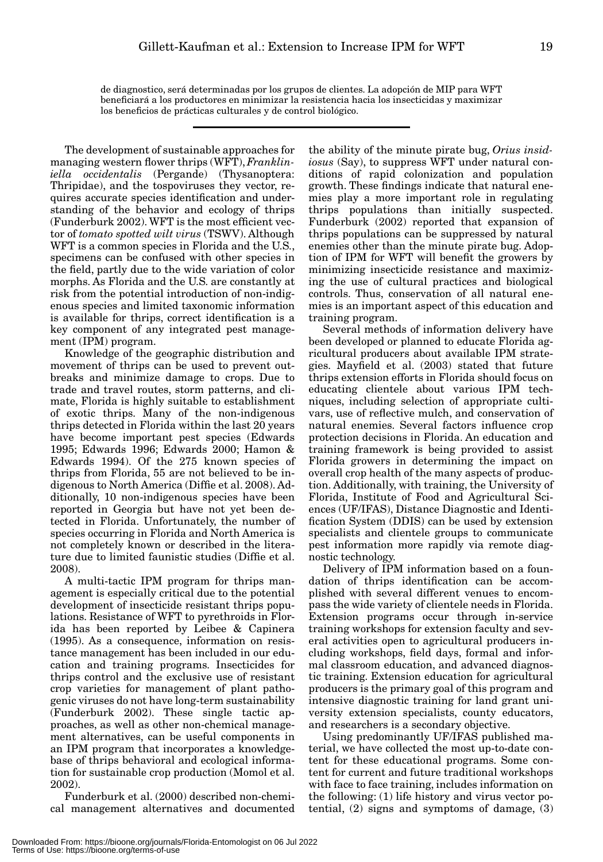de diagnostico, será determinadas por los grupos de clientes. La adopción de MIP para WFT beneficiará a los productores en minimizar la resistencia hacia los insecticidas y maximizar los beneficios de prácticas culturales y de control biológico.

The development of sustainable approaches for managing western flower thrips (WFT), *Frankliniella occidentalis* (Pergande) (Thysanoptera: Thripidae), and the tospoviruses they vector, requires accurate species identification and understanding of the behavior and ecology of thrips (Funderburk 2002). WFT is the most efficient vector of *tomato spotted wilt virus* (TSWV). Although WFT is a common species in Florida and the U.S., specimens can be confused with other species in the field, partly due to the wide variation of color morphs. As Florida and the U.S. are constantly at risk from the potential introduction of non-indigenous species and limited taxonomic information is available for thrips, correct identification is a key component of any integrated pest management (IPM) program.

Knowledge of the geographic distribution and movement of thrips can be used to prevent outbreaks and minimize damage to crops. Due to trade and travel routes, storm patterns, and climate, Florida is highly suitable to establishment of exotic thrips. Many of the non-indigenous thrips detected in Florida within the last 20 years have become important pest species (Edwards 1995; Edwards 1996; Edwards 2000; Hamon & Edwards 1994). Of the 275 known species of thrips from Florida, 55 are not believed to be indigenous to North America (Diffie et al. 2008). Additionally, 10 non-indigenous species have been reported in Georgia but have not yet been detected in Florida. Unfortunately, the number of species occurring in Florida and North America is not completely known or described in the literature due to limited faunistic studies (Diffie et al. 2008).

A multi-tactic IPM program for thrips management is especially critical due to the potential development of insecticide resistant thrips populations. Resistance of WFT to pyrethroids in Florida has been reported by Leibee & Capinera (1995). As a consequence, information on resistance management has been included in our education and training programs. Insecticides for thrips control and the exclusive use of resistant crop varieties for management of plant pathogenic viruses do not have long-term sustainability (Funderburk 2002). These single tactic approaches, as well as other non-chemical management alternatives, can be useful components in an IPM program that incorporates a knowledgebase of thrips behavioral and ecological information for sustainable crop production (Momol et al. 2002).

Funderburk et al. (2000) described non-chemical management alternatives and documented

the ability of the minute pirate bug, *Orius insidiosus* (Say), to suppress WFT under natural conditions of rapid colonization and population growth. These findings indicate that natural enemies play a more important role in regulating thrips populations than initially suspected. Funderburk (2002) reported that expansion of thrips populations can be suppressed by natural enemies other than the minute pirate bug. Adoption of IPM for WFT will benefit the growers by minimizing insecticide resistance and maximizing the use of cultural practices and biological controls. Thus, conservation of all natural enemies is an important aspect of this education and training program.

Several methods of information delivery have been developed or planned to educate Florida agricultural producers about available IPM strategies. Mayfield et al. (2003) stated that future thrips extension efforts in Florida should focus on educating clientele about various IPM techniques, including selection of appropriate cultivars, use of reflective mulch, and conservation of natural enemies. Several factors influence crop protection decisions in Florida. An education and training framework is being provided to assist Florida growers in determining the impact on overall crop health of the many aspects of production. Additionally, with training, the University of Florida, Institute of Food and Agricultural Sciences (UF/IFAS), Distance Diagnostic and Identification System (DDIS) can be used by extension specialists and clientele groups to communicate pest information more rapidly via remote diagnostic technology.

Delivery of IPM information based on a foundation of thrips identification can be accomplished with several different venues to encompass the wide variety of clientele needs in Florida. Extension programs occur through in-service training workshops for extension faculty and several activities open to agricultural producers including workshops, field days, formal and informal classroom education, and advanced diagnostic training. Extension education for agricultural producers is the primary goal of this program and intensive diagnostic training for land grant university extension specialists, county educators, and researchers is a secondary objective.

Using predominantly UF/IFAS published material, we have collected the most up-to-date content for these educational programs. Some content for current and future traditional workshops with face to face training, includes information on the following: (1) life history and virus vector potential, (2) signs and symptoms of damage, (3)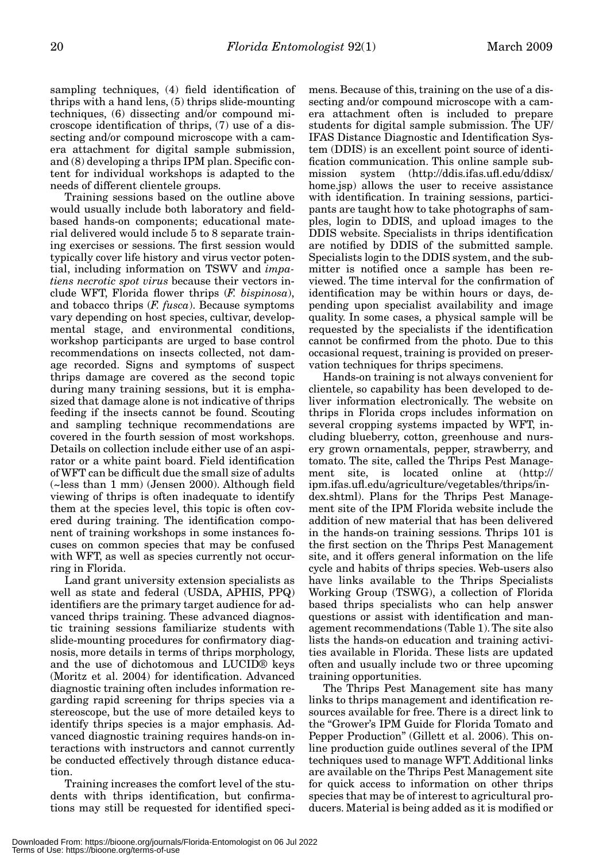sampling techniques, (4) field identification of thrips with a hand lens, (5) thrips slide-mounting techniques, (6) dissecting and/or compound microscope identification of thrips, (7) use of a dissecting and/or compound microscope with a camera attachment for digital sample submission, and (8) developing a thrips IPM plan. Specific content for individual workshops is adapted to the needs of different clientele groups.

Training sessions based on the outline above would usually include both laboratory and fieldbased hands-on components; educational material delivered would include 5 to 8 separate training exercises or sessions. The first session would typically cover life history and virus vector potential, including information on TSWV and *impatiens necrotic spot virus* because their vectors include WFT, Florida flower thrips (*F. bispinosa*), and tobacco thrips (*F. fusca*). Because symptoms vary depending on host species, cultivar, developmental stage, and environmental conditions, workshop participants are urged to base control recommendations on insects collected, not damage recorded. Signs and symptoms of suspect thrips damage are covered as the second topic during many training sessions, but it is emphasized that damage alone is not indicative of thrips feeding if the insects cannot be found. Scouting and sampling technique recommendations are covered in the fourth session of most workshops. Details on collection include either use of an aspirator or a white paint board. Field identification of WFT can be difficult due the small size of adults (~less than 1 mm) (Jensen 2000). Although field viewing of thrips is often inadequate to identify them at the species level, this topic is often covered during training. The identification component of training workshops in some instances focuses on common species that may be confused with WFT, as well as species currently not occurring in Florida.

Land grant university extension specialists as well as state and federal (USDA, APHIS, PPQ) identifiers are the primary target audience for advanced thrips training. These advanced diagnostic training sessions familiarize students with slide-mounting procedures for confirmatory diagnosis, more details in terms of thrips morphology, and the use of dichotomous and LUCID® keys (Moritz et al. 2004) for identification. Advanced diagnostic training often includes information regarding rapid screening for thrips species via a stereoscope, but the use of more detailed keys to identify thrips species is a major emphasis. Advanced diagnostic training requires hands-on interactions with instructors and cannot currently be conducted effectively through distance education.

Training increases the comfort level of the students with thrips identification, but confirmations may still be requested for identified speci-

mens. Because of this, training on the use of a dissecting and/or compound microscope with a camera attachment often is included to prepare students for digital sample submission. The UF/ IFAS Distance Diagnostic and Identification System (DDIS) is an excellent point source of identification communication. This online sample submission system (http://ddis.ifas.ufl.edu/ddisx/ home.jsp) allows the user to receive assistance with identification. In training sessions, participants are taught how to take photographs of samples, login to DDIS, and upload images to the DDIS website. Specialists in thrips identification are notified by DDIS of the submitted sample. Specialists login to the DDIS system, and the submitter is notified once a sample has been reviewed. The time interval for the confirmation of identification may be within hours or days, depending upon specialist availability and image quality. In some cases, a physical sample will be requested by the specialists if the identification cannot be confirmed from the photo. Due to this occasional request, training is provided on preservation techniques for thrips specimens.

Hands-on training is not always convenient for clientele, so capability has been developed to deliver information electronically. The website on thrips in Florida crops includes information on several cropping systems impacted by WFT, including blueberry, cotton, greenhouse and nursery grown ornamentals, pepper, strawberry, and tomato. The site, called the Thrips Pest Management site, is located online at (http:// ipm.ifas.ufl.edu/agriculture/vegetables/thrips/index.shtml). Plans for the Thrips Pest Management site of the IPM Florida website include the addition of new material that has been delivered in the hands-on training sessions. Thrips 101 is the first section on the Thrips Pest Management site, and it offers general information on the life cycle and habits of thrips species. Web-users also have links available to the Thrips Specialists Working Group (TSWG), a collection of Florida based thrips specialists who can help answer questions or assist with identification and management recommendations (Table 1). The site also lists the hands-on education and training activities available in Florida. These lists are updated often and usually include two or three upcoming training opportunities.

The Thrips Pest Management site has many links to thrips management and identification resources available for free. There is a direct link to the "Grower's IPM Guide for Florida Tomato and Pepper Production" (Gillett et al. 2006). This online production guide outlines several of the IPM techniques used to manage WFT. Additional links are available on the Thrips Pest Management site for quick access to information on other thrips species that may be of interest to agricultural producers. Material is being added as it is modified or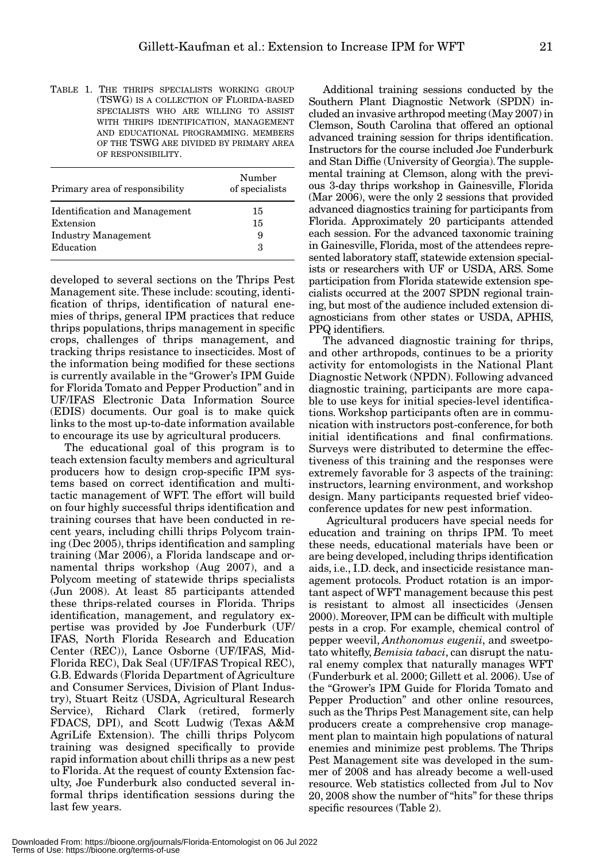TABLE 1. THE THRIPS SPECIALISTS WORKING GROUP (TSWG) IS A COLLECTION OF FLORIDA-BASED SPECIALISTS WHO ARE WILLING TO ASSIST WITH THRIPS IDENTIFICATION, MANAGEMENT AND EDUCATIONAL PROGRAMMING. MEMBERS OF THE TSWG ARE DIVIDED BY PRIMARY AREA OF RESPONSIBILITY.

| Primary area of responsibility | Number<br>of specialists |
|--------------------------------|--------------------------|
| Identification and Management  | 15                       |
| Extension                      | 15                       |
| Industry Management            | 9                        |
| Education                      | 3                        |

developed to several sections on the Thrips Pest Management site. These include: scouting, identification of thrips, identification of natural enemies of thrips, general IPM practices that reduce thrips populations, thrips management in specific crops, challenges of thrips management, and tracking thrips resistance to insecticides. Most of the information being modified for these sections is currently available in the "Grower's IPM Guide for Florida Tomato and Pepper Production" and in UF/IFAS Electronic Data Information Source (EDIS) documents. Our goal is to make quick links to the most up-to-date information available to encourage its use by agricultural producers.

The educational goal of this program is to teach extension faculty members and agricultural producers how to design crop-specific IPM systems based on correct identification and multitactic management of WFT. The effort will build on four highly successful thrips identification and training courses that have been conducted in recent years, including chilli thrips Polycom training (Dec 2005), thrips identification and sampling training (Mar 2006), a Florida landscape and ornamental thrips workshop (Aug 2007), and a Polycom meeting of statewide thrips specialists (Jun 2008). At least 85 participants attended these thrips-related courses in Florida. Thrips identification, management, and regulatory expertise was provided by Joe Funderburk (UF/ IFAS, North Florida Research and Education Center (REC)), Lance Osborne (UF/IFAS, Mid-Florida REC), Dak Seal (UF/IFAS Tropical REC), G.B. Edwards (Florida Department of Agriculture and Consumer Services, Division of Plant Industry), Stuart Reitz (USDA, Agricultural Research Service), Richard Clark (retired, formerly FDACS, DPI), and Scott Ludwig (Texas A&M AgriLife Extension). The chilli thrips Polycom training was designed specifically to provide rapid information about chilli thrips as a new pest to Florida. At the request of county Extension faculty, Joe Funderburk also conducted several informal thrips identification sessions during the last few years.

Additional training sessions conducted by the Southern Plant Diagnostic Network (SPDN) included an invasive arthropod meeting (May 2007) in Clemson, South Carolina that offered an optional advanced training session for thrips identification. Instructors for the course included Joe Funderburk and Stan Diffie (University of Georgia). The supplemental training at Clemson, along with the previous 3-day thrips workshop in Gainesville, Florida (Mar 2006), were the only 2 sessions that provided advanced diagnostics training for participants from Florida. Approximately 20 participants attended each session. For the advanced taxonomic training in Gainesville, Florida, most of the attendees represented laboratory staff, statewide extension specialists or researchers with UF or USDA, ARS. Some participation from Florida statewide extension specialists occurred at the 2007 SPDN regional training, but most of the audience included extension diagnosticians from other states or USDA, APHIS, PPQ identifiers.

The advanced diagnostic training for thrips, and other arthropods, continues to be a priority activity for entomologists in the National Plant Diagnostic Network (NPDN). Following advanced diagnostic training, participants are more capable to use keys for initial species-level identifications. Workshop participants often are in communication with instructors post-conference, for both initial identifications and final confirmations. Surveys were distributed to determine the effectiveness of this training and the responses were extremely favorable for 3 aspects of the training: instructors, learning environment, and workshop design. Many participants requested brief videoconference updates for new pest information.

Agricultural producers have special needs for education and training on thrips IPM. To meet these needs, educational materials have been or are being developed, including thrips identification aids, i.e., I.D. deck, and insecticide resistance management protocols. Product rotation is an important aspect of WFT management because this pest is resistant to almost all insecticides (Jensen 2000). Moreover, IPM can be difficult with multiple pests in a crop. For example, chemical control of pepper weevil, *Anthonomus eugenii*, and sweetpotato whitefly, *Bemisia tabaci*, can disrupt the natural enemy complex that naturally manages WFT (Funderburk et al. 2000; Gillett et al. 2006). Use of the "Grower's IPM Guide for Florida Tomato and Pepper Production" and other online resources, such as the Thrips Pest Management site, can help producers create a comprehensive crop management plan to maintain high populations of natural enemies and minimize pest problems. The Thrips Pest Management site was developed in the summer of 2008 and has already become a well-used resource. Web statistics collected from Jul to Nov 20, 2008 show the number of "hits" for these thrips specific resources (Table 2).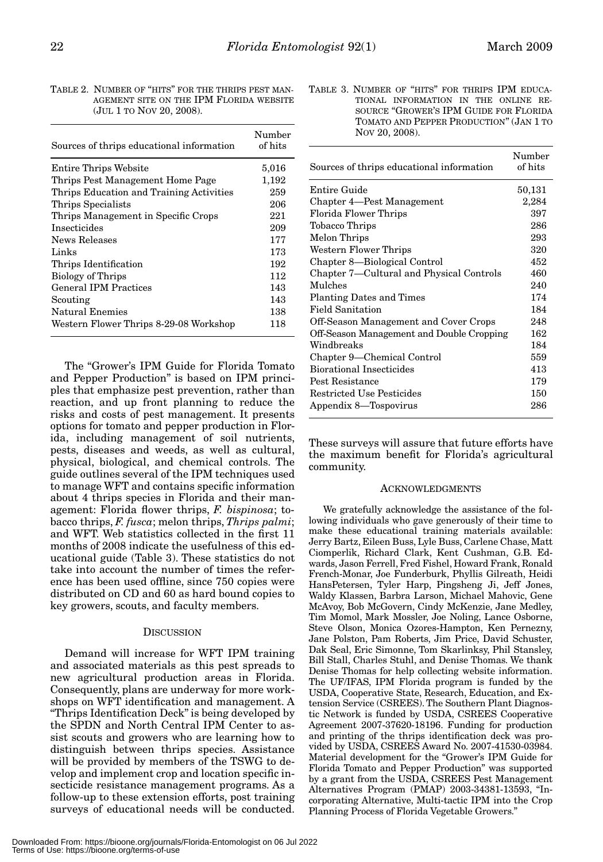TABLE 2. NUMBER OF "HITS" FOR THE THRIPS PEST MAN-AGEMENT SITE ON THE IPM FLORIDA WEBSITE (JUL 1 TO NOV 20, 2008).

| Sources of thrips educational information | Number<br>of hits |
|-------------------------------------------|-------------------|
| Entire Thrips Website                     | 5,016             |
| Thrips Pest Management Home Page          | 1,192             |
| Thrips Education and Training Activities  | 259               |
| Thrips Specialists                        | 206               |
| Thrips Management in Specific Crops       | 221               |
| Insecticides                              | 209               |
| News Releases                             | 177               |
| Links                                     | 173               |
| Thrips Identification                     | 192               |
| <b>Biology of Thrips</b>                  | 112               |
| <b>General IPM Practices</b>              | 143               |
| Scouting                                  | 143               |
| Natural Enemies                           | 138               |
| Western Flower Thrips 8-29-08 Workshop    | 118               |
|                                           |                   |

The "Grower's IPM Guide for Florida Tomato and Pepper Production" is based on IPM principles that emphasize pest prevention, rather than reaction, and up front planning to reduce the risks and costs of pest management. It presents options for tomato and pepper production in Florida, including management of soil nutrients, pests, diseases and weeds, as well as cultural, physical, biological, and chemical controls. The guide outlines several of the IPM techniques used to manage WFT and contains specific information about 4 thrips species in Florida and their management: Florida flower thrips, *F. bispinosa*; tobacco thrips, *F. fusca*; melon thrips, *Thrips palmi*; and WFT. Web statistics collected in the first 11 months of 2008 indicate the usefulness of this educational guide (Table 3). These statistics do not take into account the number of times the reference has been used offline, since 750 copies were distributed on CD and 60 as hard bound copies to key growers, scouts, and faculty members.

# **DISCUSSION**

Demand will increase for WFT IPM training and associated materials as this pest spreads to new agricultural production areas in Florida. Consequently, plans are underway for more workshops on WFT identification and management. A "Thrips Identification Deck" is being developed by the SPDN and North Central IPM Center to assist scouts and growers who are learning how to distinguish between thrips species. Assistance will be provided by members of the TSWG to develop and implement crop and location specific insecticide resistance management programs. As a follow-up to these extension efforts, post training surveys of educational needs will be conducted.

| Sources of thrips educational information | Number<br>of hits |
|-------------------------------------------|-------------------|
| Entire Guide                              | 50,131            |
| Chapter 4—Pest Management                 | 2,284             |
| Florida Flower Thrips                     | 397               |
| Tobacco Thrips                            | 286               |
| Melon Thrips                              | 293               |
| Western Flower Thrips                     | 320               |
| Chapter 8-Biological Control              | 452               |
| Chapter 7—Cultural and Physical Controls  | 460               |
| Mulches                                   | 240               |
| <b>Planting Dates and Times</b>           | 174               |
| <b>Field Sanitation</b>                   | 184               |
| Off-Season Management and Cover Crops     | 248               |
| Off-Season Management and Double Cropping | 162               |
| Windbreaks                                | 184               |
| Chapter 9-Chemical Control                | 559               |
| <b>Biorational Insecticides</b>           | 413               |
| Pest Resistance                           | 179               |
| Restricted Use Pesticides                 | 150               |
| Appendix 8—Tospovirus                     | 286               |

These surveys will assure that future efforts have the maximum benefit for Florida's agricultural community.

#### ACKNOWLEDGMENTS

We gratefully acknowledge the assistance of the following individuals who gave generously of their time to make these educational training materials available: Jerry Bartz, Eileen Buss, Lyle Buss, Carlene Chase, Matt Ciomperlik, Richard Clark, Kent Cushman, G.B. Edwards, Jason Ferrell, Fred Fishel, Howard Frank, Ronald French-Monar, Joe Funderburk, Phyllis Gilreath, Heidi HansPetersen, Tyler Harp, Pingsheng Ji, Jeff Jones, Waldy Klassen, Barbra Larson, Michael Mahovic, Gene McAvoy, Bob McGovern, Cindy McKenzie, Jane Medley, Tim Momol, Mark Mossler, Joe Noling, Lance Osborne, Steve Olson, Monica Ozores-Hampton, Ken Pernezny, Jane Polston, Pam Roberts, Jim Price, David Schuster, Dak Seal, Eric Simonne, Tom Skarlinksy, Phil Stansley, Bill Stall, Charles Stuhl, and Denise Thomas. We thank Denise Thomas for help collecting website information. The UF/IFAS, IPM Florida program is funded by the USDA, Cooperative State, Research, Education, and Extension Service (CSREES). The Southern Plant Diagnostic Network is funded by USDA, CSREES Cooperative Agreement 2007-37620-18196. Funding for production and printing of the thrips identification deck was provided by USDA, CSREES Award No. 2007-41530-03984. Material development for the "Grower's IPM Guide for Florida Tomato and Pepper Production" was supported by a grant from the USDA, CSREES Pest Management Alternatives Program (PMAP) 2003-34381-13593, "Incorporating Alternative, Multi-tactic IPM into the Crop Planning Process of Florida Vegetable Growers."